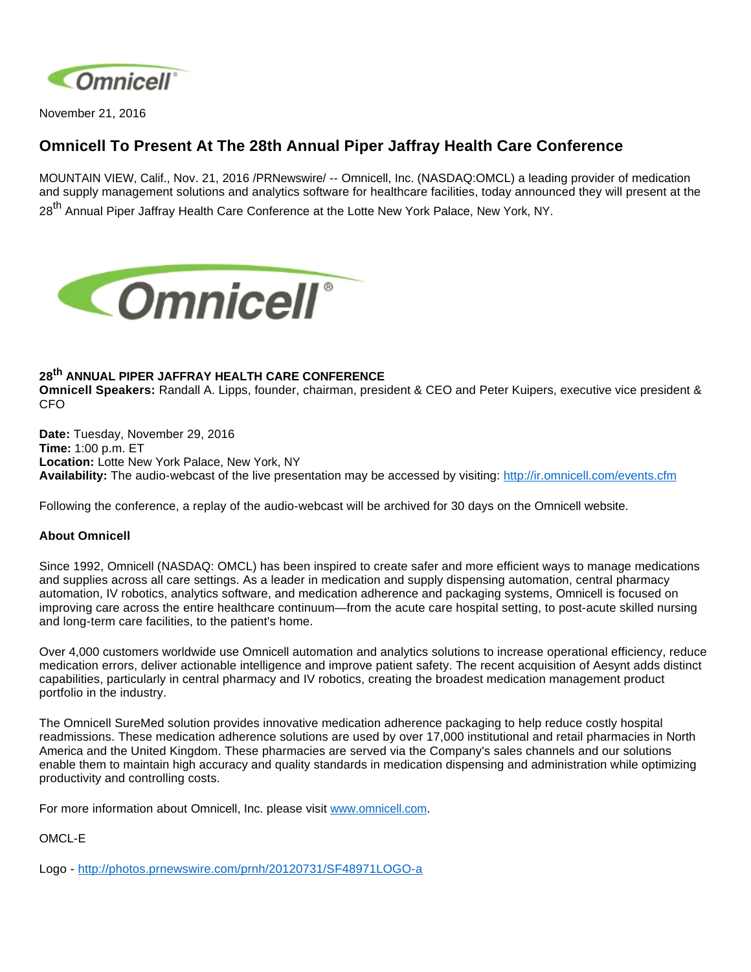

November 21, 2016

## **Omnicell To Present At The 28th Annual Piper Jaffray Health Care Conference**

MOUNTAIN VIEW, Calif., Nov. 21, 2016 /PRNewswire/ -- Omnicell, Inc. (NASDAQ:OMCL) a leading provider of medication and supply management solutions and analytics software for healthcare facilities, today announced they will present at the 28<sup>th</sup> Annual Piper Jaffray Health Care Conference at the Lotte New York Palace, New York, NY.



## **28th ANNUAL PIPER JAFFRAY HEALTH CARE CONFERENCE**

**Omnicell Speakers:** Randall A. Lipps, founder, chairman, president & CEO and Peter Kuipers, executive vice president & CFO

**Date:** Tuesday, November 29, 2016 **Time:** 1:00 p.m. ET **Location:** Lotte New York Palace, New York, NY **Availability:** The audio-webcast of the live presentation may be accessed by visiting: <http://ir.omnicell.com/events.cfm>

Following the conference, a replay of the audio-webcast will be archived for 30 days on the Omnicell website.

## **About Omnicell**

Since 1992, Omnicell (NASDAQ: OMCL) has been inspired to create safer and more efficient ways to manage medications and supplies across all care settings. As a leader in medication and supply dispensing automation, central pharmacy automation, IV robotics, analytics software, and medication adherence and packaging systems, Omnicell is focused on improving care across the entire healthcare continuum—from the acute care hospital setting, to post-acute skilled nursing and long-term care facilities, to the patient's home.

Over 4,000 customers worldwide use Omnicell automation and analytics solutions to increase operational efficiency, reduce medication errors, deliver actionable intelligence and improve patient safety. The recent acquisition of Aesynt adds distinct capabilities, particularly in central pharmacy and IV robotics, creating the broadest medication management product portfolio in the industry.

The Omnicell SureMed solution provides innovative medication adherence packaging to help reduce costly hospital readmissions. These medication adherence solutions are used by over 17,000 institutional and retail pharmacies in North America and the United Kingdom. These pharmacies are served via the Company's sales channels and our solutions enable them to maintain high accuracy and quality standards in medication dispensing and administration while optimizing productivity and controlling costs.

For more information about Omnicell, Inc. please visit [www.omnicell.com](http://www.omnicell.com/).

OMCL-E

Logo - <http://photos.prnewswire.com/prnh/20120731/SF48971LOGO-a>